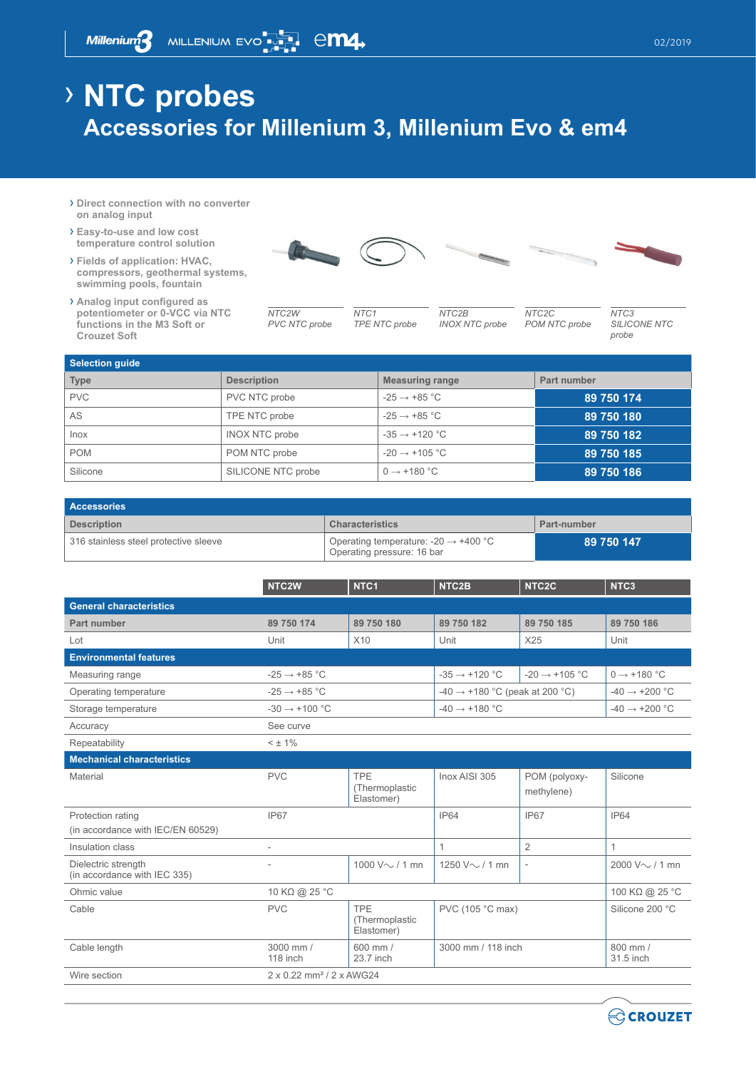## › **NTC probes Accessories for Millenium 3, Millenium Evo & em4**

- › **Direct connection with no converter on analog input**
- › **Easy-to-use and low cost temperature control solution**

**Millenium** 

- › **Fields of application: HVAC, compressors, geothermal systems, swimming pools, fountain**
- › **Analog input configured as potentiometer or 0-VCC via NTC functions in the M3 Soft or Crouzet Soft**



*NTC2W PVC NTC probe*

*NTC1 TPE NTC probe*

*NTC2B INOX NTC probe*

*NTC2C POM NTC probe*

*NTC3 SILICONE NTC probe*

| Selection quide |                       |                           |             |  |  |
|-----------------|-----------------------|---------------------------|-------------|--|--|
| Type            | <b>Description</b>    | <b>Measuring range</b>    | Part number |  |  |
| <b>PVC</b>      | PVC NTC probe         | $-25 \rightarrow +85$ °C  | 89 750 174  |  |  |
| AS              | TPE NTC probe         | $-25 \rightarrow +85$ °C  | 89 750 180  |  |  |
| Inox            | <b>INOX NTC probe</b> | $-35 \rightarrow +120$ °C | 89 750 182  |  |  |
| <b>POM</b>      | POM NTC probe         | $-20 \rightarrow +105$ °C | 89 750 185  |  |  |
| Silicone        | SILICONE NTC probe    | $0 \rightarrow +180$ °C   | 89 750 186  |  |  |

| <b>Accessories</b>                    |                                                                                |             |  |  |
|---------------------------------------|--------------------------------------------------------------------------------|-------------|--|--|
| <b>Description</b>                    | <b>Characteristics</b>                                                         | Part-number |  |  |
| 316 stainless steel protective sleeve | Operating temperature: -20 $\rightarrow$ +400 °C<br>Operating pressure: 16 bar | 89 750 147  |  |  |

|                                                        | NTC <sub>2</sub> W                   | NTC <sub>1</sub>                           | NTC2B                                      | NTC <sub>2</sub> C          | NTC <sub>3</sub>          |
|--------------------------------------------------------|--------------------------------------|--------------------------------------------|--------------------------------------------|-----------------------------|---------------------------|
| <b>General characteristics</b>                         |                                      |                                            |                                            |                             |                           |
| Part number                                            | 89 750 174                           | 89 750 180                                 | 89 750 182                                 | 89 750 185                  | 89 750 186                |
| Lot                                                    | Unit                                 | X10                                        | Unit                                       | X25                         | Unit                      |
| <b>Environmental features</b>                          |                                      |                                            |                                            |                             |                           |
| Measuring range                                        | $-25 \rightarrow +85$ °C             |                                            | $-35 \rightarrow +120$ °C                  | $-20 \rightarrow +105$ °C   | $0 \rightarrow +180$ °C   |
| Operating temperature                                  | $-25 \rightarrow +85$ °C             |                                            | $-40 \rightarrow +180$ °C (peak at 200 °C) |                             | $-40 \rightarrow +200$ °C |
| Storage temperature                                    | $-30 \rightarrow +100$ °C            |                                            | $-40 \rightarrow +180$ °C                  |                             | $-40 \rightarrow +200$ °C |
| Accuracy                                               | See curve                            |                                            |                                            |                             |                           |
| Repeatability                                          | $< \pm 1\%$                          |                                            |                                            |                             |                           |
| <b>Mechanical characteristics</b>                      |                                      |                                            |                                            |                             |                           |
| Material                                               | <b>PVC</b>                           | <b>TPE</b><br>(Thermoplastic<br>Elastomer) | Inox AISI 305                              | POM (polyoxy-<br>methylene) | Silicone                  |
| Protection rating<br>(in accordance with IEC/EN 60529) | <b>IP67</b>                          |                                            | <b>IP64</b>                                | <b>IP67</b>                 | <b>IP64</b>               |
| Insulation class                                       | $\overline{\phantom{a}}$             |                                            | $\mathbf{1}$                               | $\overline{2}$              | $\mathbf{1}$              |
| Dielectric strength<br>(in accordance with IEC 335)    | ÷                                    | 1000 V $\sim$ / 1 mn                       | 1250 V $\sim$ / 1 mn                       |                             | 2000 V $\sim$ / 1 mn      |
| Ohmic value                                            | 10 KΩ @ 25 °C                        |                                            |                                            |                             | 100 KΩ @ 25 °C            |
| Cable                                                  | <b>PVC</b>                           | <b>TPE</b><br>(Thermoplastic<br>Elastomer) | PVC (105 °C max)                           |                             | Silicone 200 °C           |
| Cable length                                           | 3000 mm /<br>118 inch                | 600 mm /<br>23.7 inch                      | 3000 mm / 118 inch                         |                             | 800 mm /<br>31.5 inch     |
| Wire section                                           | 2 x 0.22 mm <sup>2</sup> / 2 x AWG24 |                                            |                                            |                             |                           |

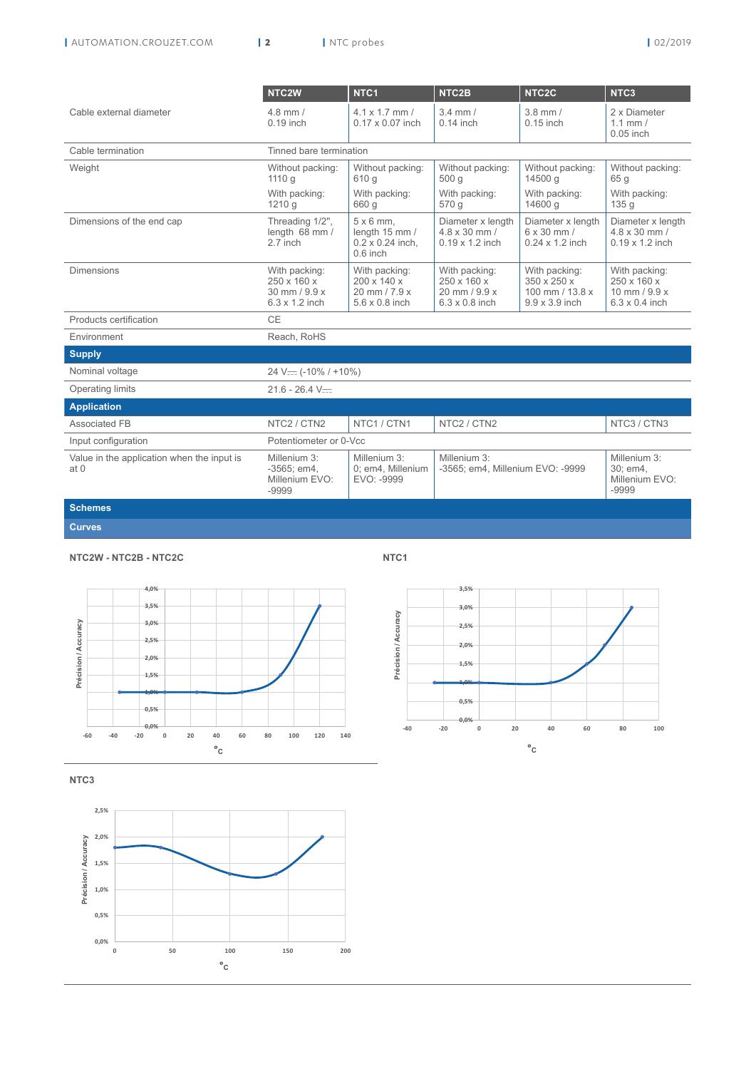|                                                    | NTC <sub>2</sub> W                                                     | NTC <sub>1</sub>                                                                   | NTC2B                                                                   | NTC <sub>2</sub> C                                                       | NTC <sub>3</sub>                                                         |  |
|----------------------------------------------------|------------------------------------------------------------------------|------------------------------------------------------------------------------------|-------------------------------------------------------------------------|--------------------------------------------------------------------------|--------------------------------------------------------------------------|--|
| Cable external diameter                            | $4.8$ mm $/$<br>$0.19$ inch                                            | $4.1 \times 1.7$ mm /<br>0.17 x 0.07 inch                                          | $3.4$ mm $/$<br>$0.14$ inch                                             | $3.8$ mm $/$<br>$0.15$ inch                                              | 2 x Diameter<br>$1.1$ mm $/$<br>$0.05$ inch                              |  |
| Cable termination                                  | Tinned bare termination                                                |                                                                                    |                                                                         |                                                                          |                                                                          |  |
| Weight                                             | Without packing:<br>1110 g                                             | Without packing:<br>610 g                                                          | Without packing:<br>500 g                                               | Without packing:<br>14500 g                                              | Without packing:<br>65 <sub>g</sub>                                      |  |
|                                                    | With packing:<br>1210 g                                                | With packing:<br>660 q                                                             | With packing:<br>570 g                                                  | With packing:<br>14600 g                                                 | With packing:<br>135q                                                    |  |
| Dimensions of the end cap                          | Threading 1/2",<br>length 68 mm /<br>2.7 inch                          | $5 \times 6$ mm.<br>length 15 mm /<br>$0.2 \times 0.24$ inch,<br>$0.6$ inch        | Diameter x length<br>$4.8 \times 30$ mm /<br>$0.19 \times 1.2$ inch     | Diameter x length<br>6 x 30 mm /<br>$0.24 \times 1.2$ inch               | Diameter x length<br>$4.8 \times 30$ mm /<br>$0.19 \times 1.2$ inch      |  |
| <b>Dimensions</b>                                  | With packing:<br>250 x 160 x<br>30 mm / 9.9 x<br>$6.3 \times 1.2$ inch | With packing:<br>$200 \times 140 \times$<br>20 mm / 7.9 x<br>$5.6 \times 0.8$ inch | With packing:<br>250 x 160 x<br>20 mm / 9.9 x<br>$6.3 \times 0.8$ inch  | With packing:<br>350 x 250 x<br>100 mm / 13.8 x<br>$9.9 \times 3.9$ inch | With packing:<br>250 x 160 x<br>10 mm / $9.9 x$<br>$6.3 \times 0.4$ inch |  |
| Products certification                             | CE                                                                     |                                                                                    |                                                                         |                                                                          |                                                                          |  |
| Environment                                        | Reach, RoHS                                                            |                                                                                    |                                                                         |                                                                          |                                                                          |  |
| <b>Supply</b>                                      |                                                                        |                                                                                    |                                                                         |                                                                          |                                                                          |  |
| Nominal voltage                                    | $24 V = (-10\% / +10\%)$                                               |                                                                                    |                                                                         |                                                                          |                                                                          |  |
| Operating limits                                   | $21.6 - 26.4$ V-                                                       |                                                                                    |                                                                         |                                                                          |                                                                          |  |
| <b>Application</b>                                 |                                                                        |                                                                                    |                                                                         |                                                                          |                                                                          |  |
| Associated FB                                      | NTC2 / CTN2                                                            | NTC1/CTN1                                                                          | NTC2 / CTN2                                                             |                                                                          | NTC3 / CTN3                                                              |  |
| Input configuration                                | Potentiometer or 0-Vcc                                                 |                                                                                    |                                                                         |                                                                          |                                                                          |  |
| Value in the application when the input is<br>at 0 | Millenium 3:<br>$-3565$ ; em4,<br>Millenium EVO:<br>$-9999$            | Millenium 3:<br>0: em4. Millenium<br>EVO: -9999                                    | Millenium 3:<br>-3565; em4, Millenium EVO: -9999<br>30: em4.<br>$-9999$ |                                                                          | Millenium 3:<br>Millenium EVO:                                           |  |
| <b>Schemes</b>                                     |                                                                        |                                                                                    |                                                                         |                                                                          |                                                                          |  |
| <b>Curves</b>                                      |                                                                        |                                                                                    |                                                                         |                                                                          |                                                                          |  |

## **NTC2W - NTC2B - NTC2C**



**NTC3**



**NTC1**